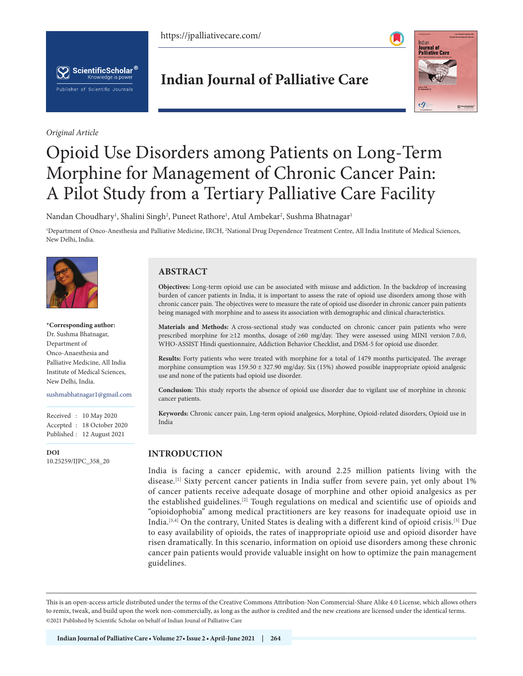https://jpalliativecare.com/





*Original Article*

# **Indian Journal of Palliative Care**



# Opioid Use Disorders among Patients on Long-Term Morphine for Management of Chronic Cancer Pain: A Pilot Study from a Tertiary Palliative Care Facility

Nandan Choudhary<sup>1</sup>, Shalini Singh<sup>2</sup>, Puneet Rathore<sup>1</sup>, Atul Ambekar<sup>2</sup>, Sushma Bhatnagar<sup>1</sup>

<sup>1</sup>Department of Onco-Anesthesia and Palliative Medicine, IRCH, <sup>2</sup>National Drug Dependence Treatment Centre, All India Institute of Medical Sciences, New Delhi, India.



#### **\*Corresponding author:** Dr. Sushma Bhatnagar,

Department of Onco-Anaesthesia and Palliative Medicine, All India Institute of Medical Sciences, New Delhi, India.

#### sushmabhatnagar1@gmail.com

Received : 10 May 2020 Accepted : 18 October 2020 Published : 12 August 2021

**DOI** [10.25259/IJPC\\_358\\_20](https://dx.doi.org/10.25259/IJPC_358_2020)

# **ABSTRACT**

**Objectives:** Long-term opioid use can be associated with misuse and addiction. In the backdrop of increasing burden of cancer patients in India, it is important to assess the rate of opioid use disorders among those with chronic cancer pain. The objectives were to measure the rate of opioid use disorder in chronic cancer pain patients being managed with morphine and to assess its association with demographic and clinical characteristics.

**Materials and Methods:** A cross-sectional study was conducted on chronic cancer pain patients who were prescribed morphine for ≥12 months, dosage of ≥60 mg/day. They were assessed using MINI version 7.0.0, WHO-ASSIST Hindi questionnaire, Addiction Behavior Checklist, and DSM-5 for opioid use disorder.

**Results:** Forty patients who were treated with morphine for a total of 1479 months participated. The average morphine consumption was 159.50 ± 327.90 mg/day. Six (15%) showed possible inappropriate opioid analgesic use and none of the patients had opioid use disorder.

**Conclusion:** This study reports the absence of opioid use disorder due to vigilant use of morphine in chronic cancer patients.

**Keywords:** Chronic cancer pain, Lng-term opioid analgesics, Morphine, Opioid-related disorders, Opioid use in India

# **INTRODUCTION**

India is facing a cancer epidemic, with around 2.25 million patients living with the disease.<sup>[1]</sup> Sixty percent cancer patients in India suffer from severe pain, yet only about 1% of cancer patients receive adequate dosage of morphine and other opioid analgesics as per the established guidelines.[2] Tough regulations on medical and scientific use of opioids and "opioidophobia" among medical practitioners are key reasons for inadequate opioid use in India.[3,4] On the contrary, United States is dealing with a different kind of opioid crisis.[5] Due to easy availability of opioids, the rates of inappropriate opioid use and opioid disorder have risen dramatically. In this scenario, information on opioid use disorders among these chronic cancer pain patients would provide valuable insight on how to optimize the pain management guidelines.

is is an open-access article distributed under the terms of the Creative Commons Attribution-Non Commercial-Share Alike 4.0 License, which allows others to remix, tweak, and build upon the work non-commercially, as long as the author is credited and the new creations are licensed under the identical terms. ©2021 Published by Scientific Scholar on behalf of Indian Jounal of Palliative Care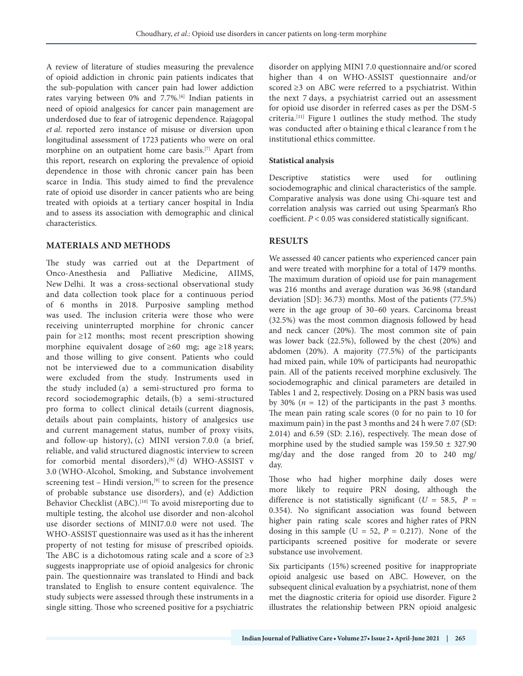A review of literature of studies measuring the prevalence of opioid addiction in chronic pain patients indicates that the sub-population with cancer pain had lower addiction rates varying between 0% and 7.7%.[6] Indian patients in need of opioid analgesics for cancer pain management are underdosed due to fear of iatrogenic dependence. Rajagopal *et al*. reported zero instance of misuse or diversion upon longitudinal assessment of 1723 patients who were on oral morphine on an outpatient home care basis.[7] Apart from this report, research on exploring the prevalence of opioid dependence in those with chronic cancer pain has been scarce in India. This study aimed to find the prevalence rate of opioid use disorder in cancer patients who are being treated with opioids at a tertiary cancer hospital in India and to assess its association with demographic and clinical characteristics.

# **MATERIALS AND METHODS**

The study was carried out at the Department of Onco-Anesthesia and Palliative Medicine, AIIMS, New Delhi. It was a cross-sectional observational study and data collection took place for a continuous period of 6 months in 2018. Purposive sampling method was used. The inclusion criteria were those who were receiving uninterrupted morphine for chronic cancer pain for ≥12 months; most recent prescription showing morphine equivalent dosage of ≥60 mg; age ≥18 years; and those willing to give consent. Patients who could not be interviewed due to a communication disability were excluded from the study. Instruments used in the study included (a) a semi-structured pro forma to record sociodemographic details, (b) a semi-structured pro forma to collect clinical details (current diagnosis, details about pain complaints, history of analgesics use and current management status, number of proxy visits, and follow-up history), (c) MINI version 7.0.0 (a brief, reliable, and valid structured diagnostic interview to screen for comorbid mental disorders),<sup>[8]</sup> (d) WHO-ASSIST v 3.0 (WHO-Alcohol, Smoking, and Substance involvement screening test – Hindi version, $[9]$  to screen for the presence of probable substance use disorders), and (e) Addiction Behavior Checklist (ABC).<sup>[10]</sup> To avoid misreporting due to multiple testing, the alcohol use disorder and non-alcohol use disorder sections of MINI7.0.0 were not used. The WHO-ASSIST questionnaire was used as it has the inherent property of not testing for misuse of prescribed opioids. The ABC is a dichotomous rating scale and a score of  $\geq 3$ suggests inappropriate use of opioid analgesics for chronic pain. The questionnaire was translated to Hindi and back translated to English to ensure content equivalence. The study subjects were assessed through these instruments in a single sitting. Those who screened positive for a psychiatric

disorder on applying MINI 7.0 questionnaire and/or scored higher than 4 on WHO-ASSIST questionnaire and/or scored ≥3 on ABC were referred to a psychiatrist. Within the next 7 days, a psychiatrist carried out an assessment for opioid use disorder in referred cases as per the DSM-5 criteria.<sup>[11]</sup> Figure 1 outlines the study method. The study was conducted after o btaining e thical c learance f rom t he institutional ethics committee.

# **Statistical analysis**

Descriptive statistics were used for outlining sociodemographic and clinical characteristics of the sample. Comparative analysis was done using Chi-square test and correlation analysis was carried out using Spearman's Rho coefficient. *P* < 0.05 was considered statistically significant.

# **RESULTS**

We assessed 40 cancer patients who experienced cancer pain and were treated with morphine for a total of 1479 months. The maximum duration of opioid use for pain management was 216 months and average duration was 36.98 (standard deviation [SD]: 36.73) months. Most of the patients (77.5%) were in the age group of 30–60 years. Carcinoma breast (32.5%) was the most common diagnosis followed by head and neck cancer  $(20\%)$ . The most common site of pain was lower back (22.5%), followed by the chest (20%) and abdomen (20%). A majority (77.5%) of the participants had mixed pain, while 10% of participants had neuropathic pain. All of the patients received morphine exclusively. The sociodemographic and clinical parameters are detailed in Tables 1 and 2, respectively. Dosing on a PRN basis was used by 30%  $(n = 12)$  of the participants in the past 3 months. The mean pain rating scale scores (0 for no pain to 10 for maximum pain) in the past 3 months and 24 h were 7.07 (SD:  $2.014$ ) and  $6.59$  (SD:  $2.16$ ), respectively. The mean dose of morphine used by the studied sample was  $159.50 \pm 327.90$ mg/day and the dose ranged from 20 to 240 mg/ day.

Those who had higher morphine daily doses were more likely to require PRN dosing, although the difference is not statistically significant ( $U = 58.5$ ,  $P =$ 0.354). No significant association was found between higher pain rating scale scores and higher rates of PRN dosing in this sample ( $U = 52$ ,  $P = 0.217$ ). None of the participants screened positive for moderate or severe substance use involvement.

Six participants (15%) screened positive for inappropriate opioid analgesic use based on ABC. However, on the subsequent clinical evaluation by a psychiatrist, none of them met the diagnostic criteria for opioid use disorder. Figure 2 illustrates the relationship between PRN opioid analgesic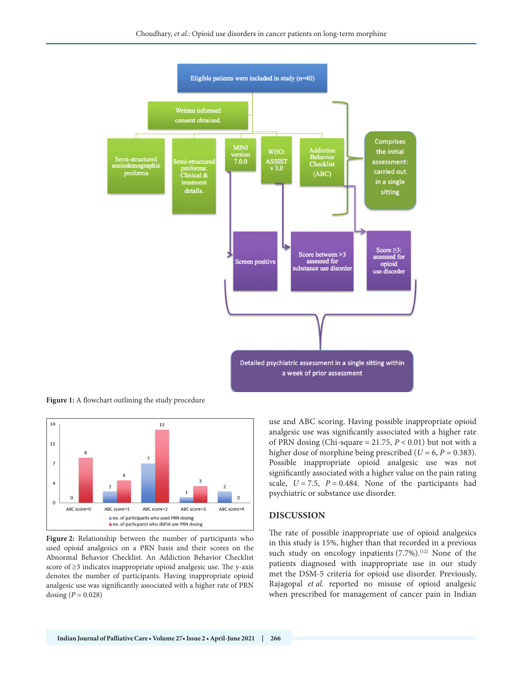

**Figure 1:** A flowchart outlining the study procedure



**Figure 2:** Relationship between the number of participants who used opioid analgesics on a PRN basis and their scores on the Abnormal Behavior Checklist. An Addiction Behavior Checklist score of ≥3 indicates inappropriate opioid analgesic use. The y-axis denotes the number of participants. Having inappropriate opioid analgesic use was significantly associated with a higher rate of PRN dosing  $(P = 0.028)$ 

use and ABC scoring. Having possible inappropriate opioid analgesic use was significantly associated with a higher rate of PRN dosing (Chi-square =  $21.75$ ,  $P < 0.01$ ) but not with a higher dose of morphine being prescribed ( $U = 6$ ,  $P = 0.383$ ). Possible inappropriate opioid analgesic use was not significantly associated with a higher value on the pain rating scale,  $U = 7.5$ ,  $P = 0.484$ . None of the participants had psychiatric or substance use disorder.

#### **DISCUSSION**

The rate of possible inappropriate use of opioid analgesics in this study is 15%, higher than that recorded in a previous such study on oncology inpatients  $(7.7%)$ .<sup>[12]</sup> None of the patients diagnosed with inappropriate use in our study met the DSM-5 criteria for opioid use disorder. Previously, Rajagopal *et al.* reported no misuse of opioid analgesic when prescribed for management of cancer pain in Indian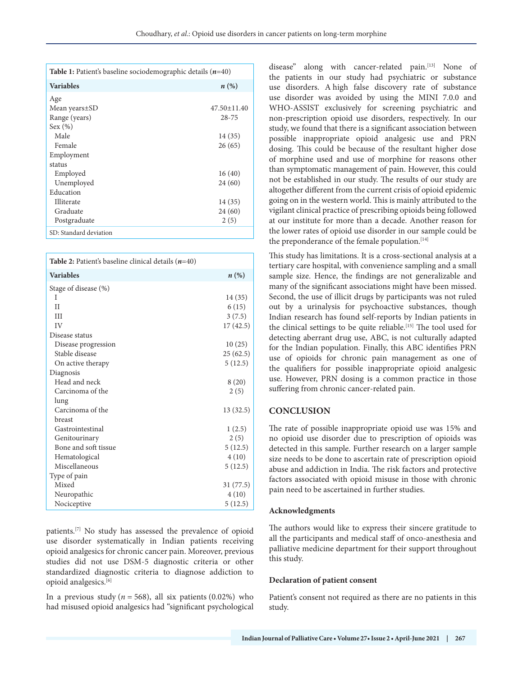| <b>Table 1:</b> Patient's baseline sociodemographic details $(n=40)$ |                    |
|----------------------------------------------------------------------|--------------------|
| <b>Variables</b>                                                     | $n\left(\%\right)$ |
| Age                                                                  |                    |
| Mean years±SD                                                        | $47.50 \pm 11.40$  |
| Range (years)                                                        | $28 - 75$          |
| Sex (%)                                                              |                    |
| Male                                                                 | 14 (35)            |
| Female                                                               | 26(65)             |
| Employment                                                           |                    |
| status                                                               |                    |
| Employed                                                             | 16(40)             |
| Unemployed                                                           | 24(60)             |
| Education                                                            |                    |
| <b>Illiterate</b>                                                    | 14 (35)            |
| Graduate                                                             | 24 (60)            |
| Postgraduate                                                         | 2(5)               |
| SD: Standard deviation                                               |                    |

| <b>Table 2:</b> Patient's baseline clinical details $(n=40)$ |                    |
|--------------------------------------------------------------|--------------------|
| <b>Variables</b>                                             | $n\left(\%\right)$ |
| Stage of disease (%)                                         |                    |
| T                                                            | 14 (35)            |
| $_{II}$                                                      | 6(15)              |
| Ш                                                            | 3(7.5)             |
| IV                                                           | 17(42.5)           |
| Disease status                                               |                    |
| Disease progression                                          | 10(25)             |
| Stable disease                                               | 25(62.5)           |
| On active therapy                                            | 5(12.5)            |
| Diagnosis                                                    |                    |
| Head and neck                                                | 8(20)              |
| Carcinoma of the                                             | 2(5)               |
| lung                                                         |                    |
| Carcinoma of the                                             | 13(32.5)           |
| breast                                                       |                    |
| Gastrointestinal                                             | 1(2.5)             |
| Genitourinary                                                | 2(5)               |
| Bone and soft tissue                                         | 5(12.5)            |
| Hematological                                                | 4(10)              |
| Miscellaneous                                                | 5(12.5)            |
| Type of pain                                                 |                    |
| Mixed                                                        | 31 (77.5)          |
| Neuropathic                                                  | 4(10)              |
| Nociceptive                                                  | 5(12.5)            |

patients.[7] No study has assessed the prevalence of opioid use disorder systematically in Indian patients receiving opioid analgesics for chronic cancer pain. Moreover, previous studies did not use DSM-5 diagnostic criteria or other standardized diagnostic criteria to diagnose addiction to opioid analgesics.[6]

In a previous study ( $n = 568$ ), all six patients (0.02%) who had misused opioid analgesics had "significant psychological disease" along with cancer-related pain.[13] None of the patients in our study had psychiatric or substance use disorders. A high false discovery rate of substance use disorder was avoided by using the MINI 7.0.0 and WHO-ASSIST exclusively for screening psychiatric and non-prescription opioid use disorders, respectively. In our study, we found that there is a significant association between possible inappropriate opioid analgesic use and PRN dosing. This could be because of the resultant higher dose of morphine used and use of morphine for reasons other than symptomatic management of pain. However, this could not be established in our study. The results of our study are altogether different from the current crisis of opioid epidemic going on in the western world. This is mainly attributed to the vigilant clinical practice of prescribing opioids being followed at our institute for more than a decade. Another reason for the lower rates of opioid use disorder in our sample could be the preponderance of the female population.<sup>[14]</sup>

This study has limitations. It is a cross-sectional analysis at a tertiary care hospital, with convenience sampling and a small sample size. Hence, the findings are not generalizable and many of the significant associations might have been missed. Second, the use of illicit drugs by participants was not ruled out by a urinalysis for psychoactive substances, though Indian research has found self-reports by Indian patients in the clinical settings to be quite reliable.<sup>[15]</sup> The tool used for detecting aberrant drug use, ABC, is not culturally adapted for the Indian population. Finally, this ABC identifies PRN use of opioids for chronic pain management as one of the qualifiers for possible inappropriate opioid analgesic use. However, PRN dosing is a common practice in those suffering from chronic cancer-related pain.

# **CONCLUSION**

The rate of possible inappropriate opioid use was 15% and no opioid use disorder due to prescription of opioids was detected in this sample. Further research on a larger sample size needs to be done to ascertain rate of prescription opioid abuse and addiction in India. The risk factors and protective factors associated with opioid misuse in those with chronic pain need to be ascertained in further studies.

# **Acknowledgments**

The authors would like to express their sincere gratitude to all the participants and medical staff of onco-anesthesia and palliative medicine department for their support throughout this study.

#### **Declaration of patient consent**

Patient's consent not required as there are no patients in this study.